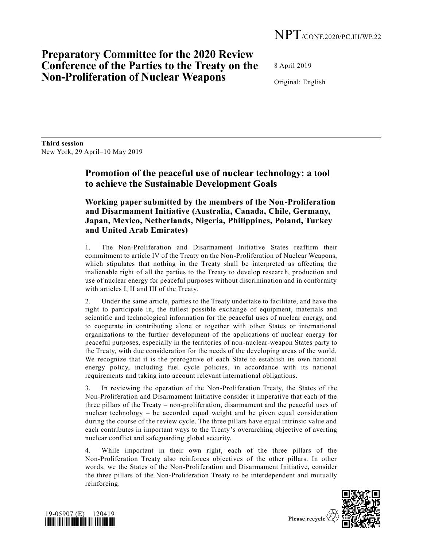## **Preparatory Committee for the 2020 Review Conference of the Parties to the Treaty on the Non-Proliferation of Nuclear Weapons**

8 April 2019

Original: English

**Third session**  New York, 29 April–10 May 2019

## **Promotion of the peaceful use of nuclear technology: a tool to achieve the Sustainable Development Goals**

## **Working paper submitted by the members of the Non-Proliferation and Disarmament Initiative (Australia, Canada, Chile, Germany, Japan, Mexico, Netherlands, Nigeria, Philippines, Poland, Turkey and United Arab Emirates)**

1. The Non-Proliferation and Disarmament Initiative States reaffirm their commitment to article IV of the Treaty on the Non-Proliferation of Nuclear Weapons, which stipulates that nothing in the Treaty shall be interpreted as affecting the inalienable right of all the parties to the Treaty to develop research, production and use of nuclear energy for peaceful purposes without discrimination and in conformity with articles I, II and III of the Treaty.

2. Under the same article, parties to the Treaty undertake to facilitate, and have the right to participate in, the fullest possible exchange of equipment, materials and scientific and technological information for the peaceful uses of nuclear energy, and to cooperate in contributing alone or together with other States or international organizations to the further development of the applications of nuclear energy for peaceful purposes, especially in the territories of non-nuclear-weapon States party to the Treaty, with due consideration for the needs of the developing areas of the world. We recognize that it is the prerogative of each State to establish its own national energy policy, including fuel cycle policies, in accordance with its national requirements and taking into account relevant international obligations.

3. In reviewing the operation of the Non-Proliferation Treaty, the States of the Non-Proliferation and Disarmament Initiative consider it imperative that each of the three pillars of the Treaty – non-proliferation, disarmament and the peaceful uses of nuclear technology – be accorded equal weight and be given equal consideration during the course of the review cycle. The three pillars have equal intrinsic value and each contributes in important ways to the Treaty's overarching objective of averting nuclear conflict and safeguarding global security.

4. While important in their own right, each of the three pillars of the Non-Proliferation Treaty also reinforces objectives of the other pillars. In other words, we the States of the Non-Proliferation and Disarmament Initiative, consider the three pillars of the Non-Proliferation Treaty to be interdependent and mutually reinforcing.



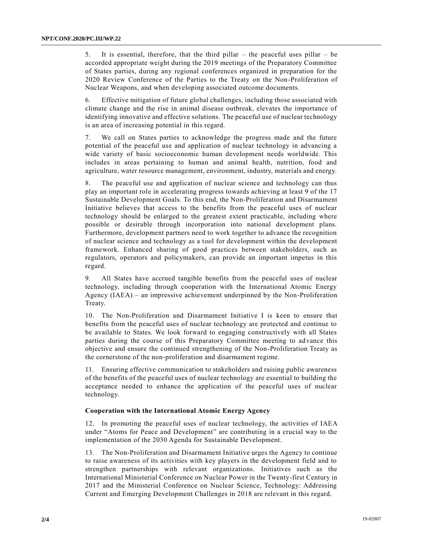5. It is essential, therefore, that the third pillar – the peaceful uses pillar – be accorded appropriate weight during the 2019 meetings of the Preparatory Committee of States parties, during any regional conferences organized in preparation for the 2020 Review Conference of the Parties to the Treaty on the Non-Proliferation of Nuclear Weapons, and when developing associated outcome documents.

6. Effective mitigation of future global challenges, including those associated with climate change and the rise in animal disease outbreak, elevates the importance of identifying innovative and effective solutions. The peaceful use of nuclear technology is an area of increasing potential in this regard.

7. We call on States parties to acknowledge the progress made and the future potential of the peaceful use and application of nuclear technology in advancing a wide variety of basic socioeconomic human development needs worldwide. This includes in areas pertaining to human and animal health, nutrition, food and agriculture, water resource management, environment, industry, materials and energy.

8. The peaceful use and application of nuclear science and technology can thus play an important role in accelerating progress towards achieving at least 9 of the 17 Sustainable Development Goals. To this end, the Non-Proliferation and Disarmament Initiative believes that access to the benefits from the peaceful uses of nuclear technology should be enlarged to the greatest extent practicable, including where possible or desirable through incorporation into national development plans. Furthermore, development partners need to work together to advance the recognition of nuclear science and technology as a tool for development within the development framework. Enhanced sharing of good practices between stakeholders, such as regulators, operators and policymakers, can provide an important impetus in this regard.

9. All States have accrued tangible benefits from the peaceful uses of nuclear technology, including through cooperation with the International Atomic Energy Agency (IAEA) – an impressive achievement underpinned by the Non-Proliferation Treaty.

10. The Non-Proliferation and Disarmament Initiative I is keen to ensure that benefits from the peaceful uses of nuclear technology are protected and continue to be available to States. We look forward to engaging constructively with all States parties during the course of this Preparatory Committee meeting to advance this objective and ensure the continued strengthening of the Non-Proliferation Treaty as the cornerstone of the non-proliferation and disarmament regime.

11. Ensuring effective communication to stakeholders and raising public awareness of the benefits of the peaceful uses of nuclear technology are essential to building the acceptance needed to enhance the application of the peaceful uses of nuclear technology.

## **Cooperation with the International Atomic Energy Agency**

12. In promoting the peaceful uses of nuclear technology, the activities of IAEA under "Atoms for Peace and Development" are contributing in a crucial way to the implementation of the 2030 Agenda for Sustainable Development.

13. The Non-Proliferation and Disarmament Initiative urges the Agency to continue to raise awareness of its activities with key players in the development field and to strengthen partnerships with relevant organizations. Initiatives such as the International Ministerial Conference on Nuclear Power in the Twenty-first Century in 2017 and the Ministerial Conference on Nuclear Science, Technology: Addressing Current and Emerging Development Challenges in 2018 are relevant in this regard.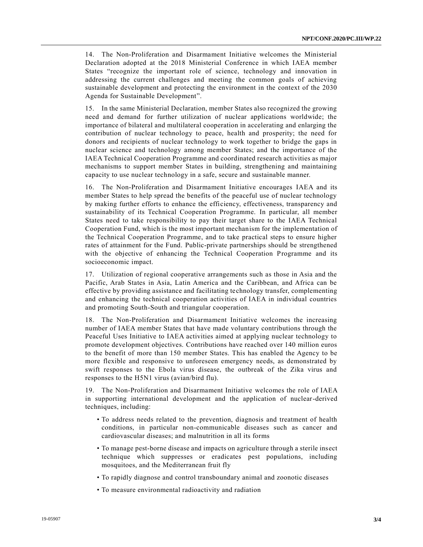14. The Non-Proliferation and Disarmament Initiative welcomes the Ministerial Declaration adopted at the 2018 Ministerial Conference in which IAEA member States "recognize the important role of science, technology and innovation in addressing the current challenges and meeting the common goals of achieving sustainable development and protecting the environment in the context of the 2030 Agenda for Sustainable Development".

15. In the same Ministerial Declaration, member States also recognized the growing need and demand for further utilization of nuclear applications worldwide; the importance of bilateral and multilateral cooperation in accelerating and enlarging the contribution of nuclear technology to peace, health and prosperity; the need for donors and recipients of nuclear technology to work together to bridge the gaps in nuclear science and technology among member States; and the importance of the IAEA Technical Cooperation Programme and coordinated research activities as major mechanisms to support member States in building, strengthening and maintaining capacity to use nuclear technology in a safe, secure and sustainable manner.

16. The Non-Proliferation and Disarmament Initiative encourages IAEA and its member States to help spread the benefits of the peaceful use of nuclear technology by making further efforts to enhance the efficiency, effectiveness, transparency and sustainability of its Technical Cooperation Programme. In particular, all member States need to take responsibility to pay their target share to the IAEA Technical Cooperation Fund, which is the most important mechanism for the implementation of the Technical Cooperation Programme, and to take practical steps to ensure higher rates of attainment for the Fund. Public-private partnerships should be strengthened with the objective of enhancing the Technical Cooperation Programme and its socioeconomic impact.

17. Utilization of regional cooperative arrangements such as those in Asia and the Pacific, Arab States in Asia, Latin America and the Caribbean, and Africa can be effective by providing assistance and facilitating technology transfer, complementing and enhancing the technical cooperation activities of IAEA in individual countries and promoting South-South and triangular cooperation.

18. The Non-Proliferation and Disarmament Initiative welcomes the increasing number of IAEA member States that have made voluntary contributions through the Peaceful Uses Initiative to IAEA activities aimed at applying nuclear technology to promote development objectives. Contributions have reached over 140 million euros to the benefit of more than 150 member States. This has enabled the Agency to be more flexible and responsive to unforeseen emergency needs, as demonstrated by swift responses to the Ebola virus disease, the outbreak of the Zika virus and responses to the H5N1 virus (avian/bird flu).

19. The Non-Proliferation and Disarmament Initiative welcomes the role of IAEA in supporting international development and the application of nuclear-derived techniques, including:

- To address needs related to the prevention, diagnosis and treatment of health conditions, in particular non-communicable diseases such as cancer and cardiovascular diseases; and malnutrition in all its forms
- To manage pest-borne disease and impacts on agriculture through a sterile insect technique which suppresses or eradicates pest populations, including mosquitoes, and the Mediterranean fruit fly
- To rapidly diagnose and control transboundary animal and zoonotic diseases
- To measure environmental radioactivity and radiation